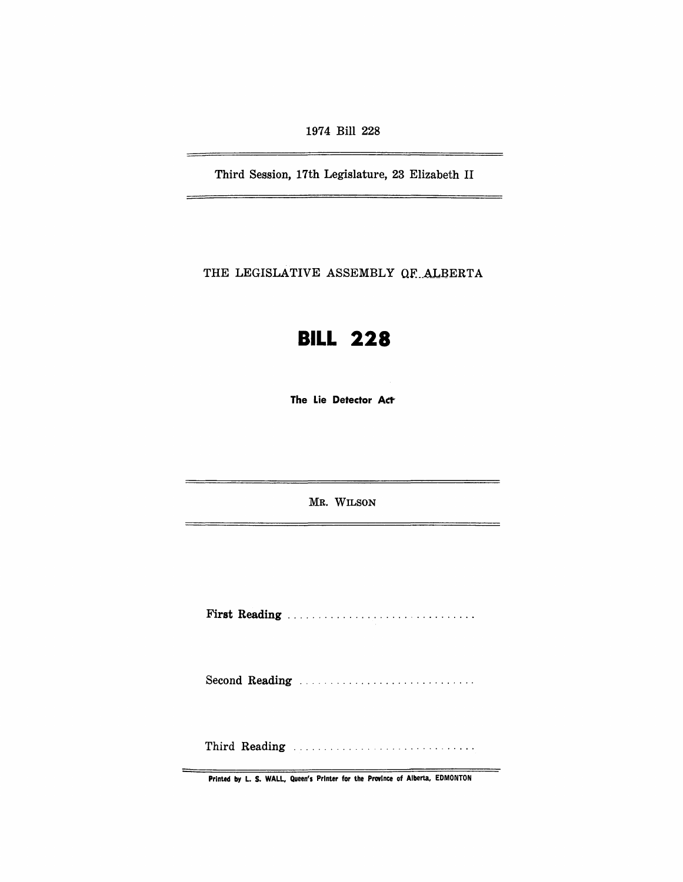1974 Bill 228

Third Session, 17th Legislature, 23 Elizabeth II

THE LEGISLATIVE ASSEMBLY OF ALBERTA

# **BILL 228**

The Lie Detector Act

MR. WILSON

First Reading .............................. .

Second Reading ............................ .

Third Reading ............................. .

Printed by L. S. WALL, Queen's Printer for the Province of Alberta, EDMONTON